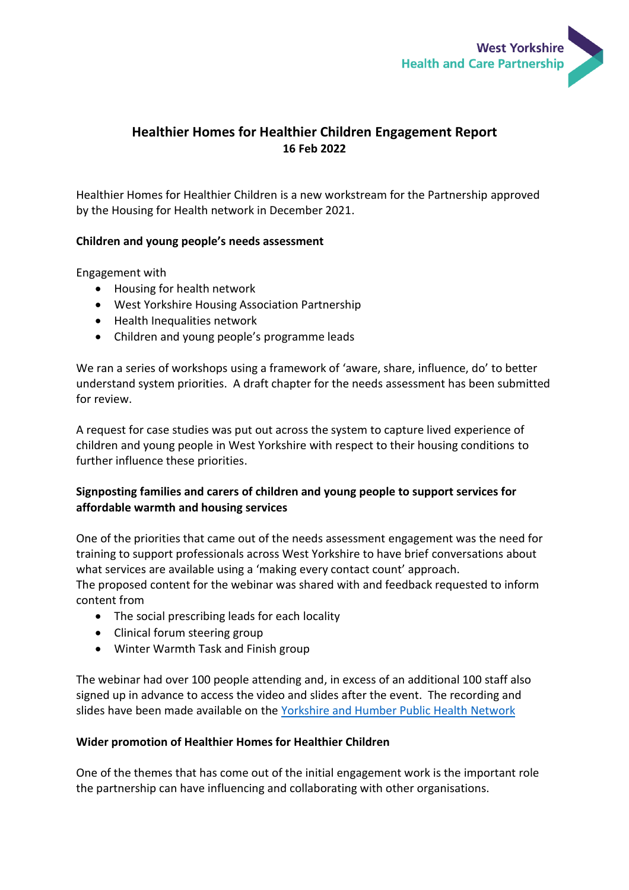

# **Healthier Homes for Healthier Children Engagement Report 16 Feb 2022**

Healthier Homes for Healthier Children is a new workstream for the Partnership approved by the Housing for Health network in December 2021.

#### **Children and young people's needs assessment**

Engagement with

- Housing for health network
- West Yorkshire Housing Association Partnership
- Health Inequalities network
- Children and young people's programme leads

We ran a series of workshops using a framework of 'aware, share, influence, do' to better understand system priorities. A draft chapter for the needs assessment has been submitted for review.

A request for case studies was put out across the system to capture lived experience of children and young people in West Yorkshire with respect to their housing conditions to further influence these priorities.

## **Signposting families and carers of children and young people to support services for affordable warmth and housing services**

One of the priorities that came out of the needs assessment engagement was the need for training to support professionals across West Yorkshire to have brief conversations about what services are available using a 'making every contact count' approach.

The proposed content for the webinar was shared with and feedback requested to inform content from

- The social prescribing leads for each locality
- Clinical forum steering group
- Winter Warmth Task and Finish group

The webinar had over 100 people attending and, in excess of an additional 100 staff also signed up in advance to access the video and slides after the event. The recording and slides have been made available on the [Yorkshire and Humber Public Health Network](https://www.yhphnetwork.co.uk/links-and-resources/signposting-families-to-affordable-warmth-and-housing-services-in-wy/)

#### **Wider promotion of Healthier Homes for Healthier Children**

One of the themes that has come out of the initial engagement work is the important role the partnership can have influencing and collaborating with other organisations.